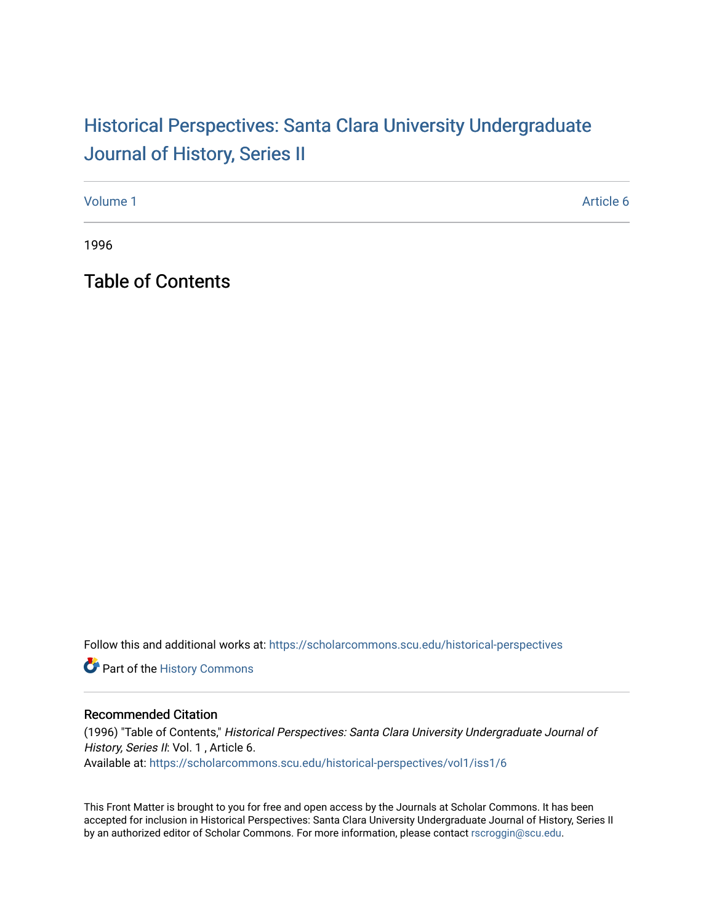## Historical Perspectiv[es: Santa Clara University Under](https://scholarcommons.scu.edu/historical-perspectives)graduate [Journal of History, Series II](https://scholarcommons.scu.edu/historical-perspectives)

[Volume 1](https://scholarcommons.scu.edu/historical-perspectives/vol1) Article 6

1996

Table of Contents

Follow this and additional works at: [https://scholarcommons.scu.edu/historical-perspectives](https://scholarcommons.scu.edu/historical-perspectives?utm_source=scholarcommons.scu.edu%2Fhistorical-perspectives%2Fvol1%2Fiss1%2F6&utm_medium=PDF&utm_campaign=PDFCoverPages) 

Part of the [History Commons](http://network.bepress.com/hgg/discipline/489?utm_source=scholarcommons.scu.edu%2Fhistorical-perspectives%2Fvol1%2Fiss1%2F6&utm_medium=PDF&utm_campaign=PDFCoverPages) 

## Recommended Citation

(1996) "Table of Contents," Historical Perspectives: Santa Clara University Undergraduate Journal of History, Series II: Vol. 1, Article 6. Available at: [https://scholarcommons.scu.edu/historical-perspectives/vol1/iss1/6](https://scholarcommons.scu.edu/historical-perspectives/vol1/iss1/6?utm_source=scholarcommons.scu.edu%2Fhistorical-perspectives%2Fvol1%2Fiss1%2F6&utm_medium=PDF&utm_campaign=PDFCoverPages) 

This Front Matter is brought to you for free and open access by the Journals at Scholar Commons. It has been accepted for inclusion in Historical Perspectives: Santa Clara University Undergraduate Journal of History, Series II by an authorized editor of Scholar Commons. For more information, please contact [rscroggin@scu.edu.](mailto:rscroggin@scu.edu)